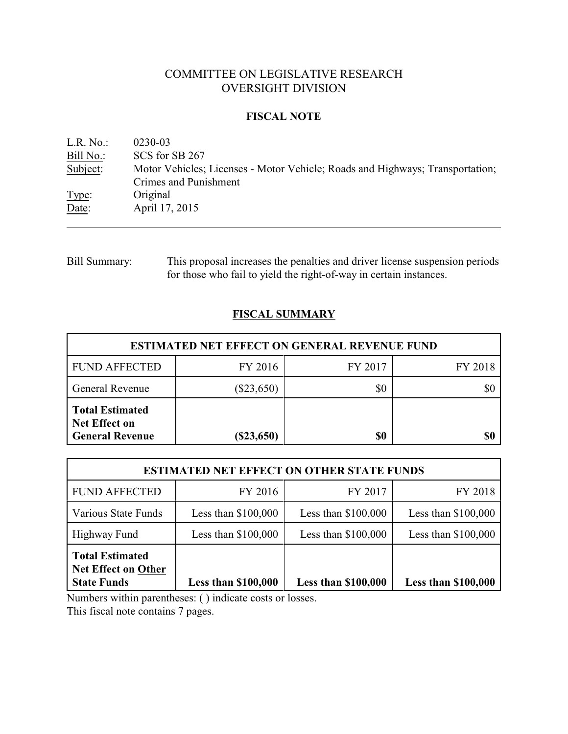# COMMITTEE ON LEGISLATIVE RESEARCH OVERSIGHT DIVISION

## **FISCAL NOTE**

| L.R. No.: | 0230-03                                                                       |
|-----------|-------------------------------------------------------------------------------|
| Bill No.: | SCS for SB 267                                                                |
| Subject:  | Motor Vehicles; Licenses - Motor Vehicle; Roads and Highways; Transportation; |
|           | Crimes and Punishment                                                         |
| Type:     | Original                                                                      |
| Date:     | April 17, 2015                                                                |
|           |                                                                               |

Bill Summary: This proposal increases the penalties and driver license suspension periods for those who fail to yield the right-of-way in certain instances.

# **FISCAL SUMMARY**

| <b>ESTIMATED NET EFFECT ON GENERAL REVENUE FUND</b>                      |                               |     |  |  |  |  |
|--------------------------------------------------------------------------|-------------------------------|-----|--|--|--|--|
| <b>FUND AFFECTED</b>                                                     | FY 2016<br>FY 2017<br>FY 2018 |     |  |  |  |  |
| General Revenue                                                          | $(\$23,650)$                  | \$0 |  |  |  |  |
| <b>Total Estimated</b><br><b>Net Effect on</b><br><b>General Revenue</b> | $(\$23,650)$                  | \$0 |  |  |  |  |

| <b>ESTIMATED NET EFFECT ON OTHER STATE FUNDS</b>                           |                            |                            |                            |  |  |
|----------------------------------------------------------------------------|----------------------------|----------------------------|----------------------------|--|--|
| <b>FUND AFFECTED</b>                                                       | FY 2016                    | FY 2017                    | FY 2018                    |  |  |
| Various State Funds                                                        | Less than $$100,000$       | Less than $$100,000$       | Less than $$100,000$       |  |  |
| Highway Fund                                                               | Less than $$100,000$       | Less than $$100,000$       | Less than $$100,000$       |  |  |
| <b>Total Estimated</b><br><b>Net Effect on Other</b><br><b>State Funds</b> | <b>Less than \$100,000</b> | <b>Less than \$100,000</b> | <b>Less than \$100,000</b> |  |  |

Numbers within parentheses: ( ) indicate costs or losses.

This fiscal note contains 7 pages.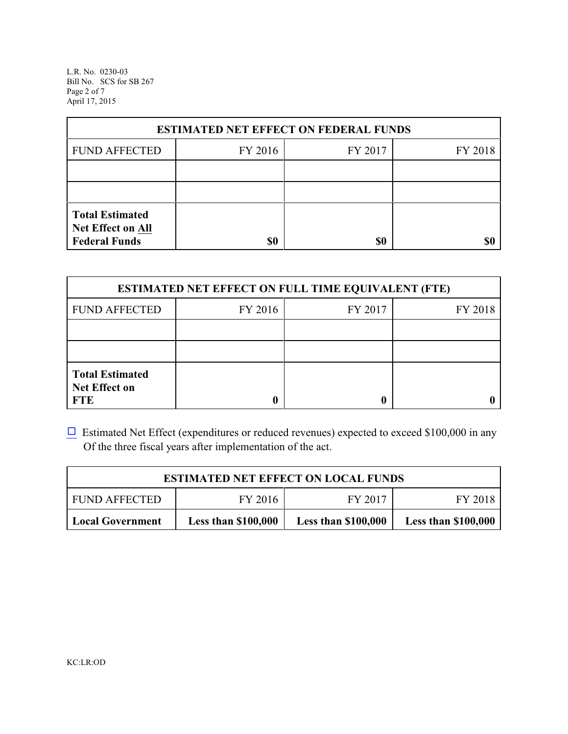L.R. No. 0230-03 Bill No. SCS for SB 267 Page 2 of 7 April 17, 2015

| <b>ESTIMATED NET EFFECT ON FEDERAL FUNDS</b>                        |         |         |         |  |  |
|---------------------------------------------------------------------|---------|---------|---------|--|--|
| <b>FUND AFFECTED</b>                                                | FY 2016 | FY 2017 | FY 2018 |  |  |
|                                                                     |         |         |         |  |  |
|                                                                     |         |         |         |  |  |
| <b>Total Estimated</b><br>Net Effect on All<br><b>Federal Funds</b> | \$0     | \$0     |         |  |  |

| <b>ESTIMATED NET EFFECT ON FULL TIME EQUIVALENT (FTE)</b>    |         |                    |  |  |  |  |
|--------------------------------------------------------------|---------|--------------------|--|--|--|--|
| <b>FUND AFFECTED</b>                                         | FY 2016 | FY 2018<br>FY 2017 |  |  |  |  |
|                                                              |         |                    |  |  |  |  |
|                                                              |         |                    |  |  |  |  |
| <b>Total Estimated</b><br><b>Net Effect on</b><br><b>FTE</b> |         |                    |  |  |  |  |

 $\Box$  Estimated Net Effect (expenditures or reduced revenues) expected to exceed \$100,000 in any Of the three fiscal years after implementation of the act.

| <b>ESTIMATED NET EFFECT ON LOCAL FUNDS</b>                                                                        |  |  |  |  |  |
|-------------------------------------------------------------------------------------------------------------------|--|--|--|--|--|
| FY 2017<br>FY 2016<br><b>FUND AFFECTED</b><br>FY 2018                                                             |  |  |  |  |  |
| <b>Less than \$100,000</b><br><b>Less than \$100,000</b><br><b>Less than \$100,000</b><br><b>Local Government</b> |  |  |  |  |  |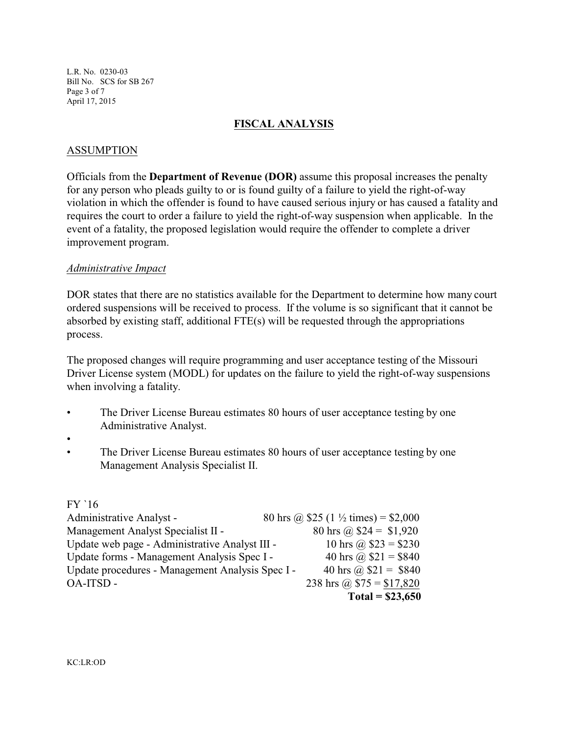L.R. No. 0230-03 Bill No. SCS for SB 267 Page 3 of 7 April 17, 2015

## **FISCAL ANALYSIS**

# ASSUMPTION

Officials from the **Department of Revenue (DOR)** assume this proposal increases the penalty for any person who pleads guilty to or is found guilty of a failure to yield the right-of-way violation in which the offender is found to have caused serious injury or has caused a fatality and requires the court to order a failure to yield the right-of-way suspension when applicable. In the event of a fatality, the proposed legislation would require the offender to complete a driver improvement program.

### *Administrative Impact*

DOR states that there are no statistics available for the Department to determine how many court ordered suspensions will be received to process. If the volume is so significant that it cannot be absorbed by existing staff, additional FTE(s) will be requested through the appropriations process.

The proposed changes will require programming and user acceptance testing of the Missouri Driver License system (MODL) for updates on the failure to yield the right-of-way suspensions when involving a fatality.

- The Driver License Bureau estimates 80 hours of user acceptance testing by one Administrative Analyst.
- •
- The Driver License Bureau estimates 80 hours of user acceptance testing by one Management Analysis Specialist II.

### FY `16

| Administrative Analyst -                         | 80 hrs @ \$25 (1 $\frac{1}{2}$ times) = \$2,000 |
|--------------------------------------------------|-------------------------------------------------|
| Management Analyst Specialist II -               | 80 hrs @ $$24 = $1,920$                         |
| Update web page - Administrative Analyst III -   | 10 hrs @ $$23 = $230$                           |
| Update forms - Management Analysis Spec I -      | 40 hrs @ $$21 = $840$                           |
| Update procedures - Management Analysis Spec I - | 40 hrs @ $$21 = $840$                           |
| OA-ITSD -                                        | 238 hrs @ $$75 = $17,820$                       |
|                                                  | Total = $$23,650$                               |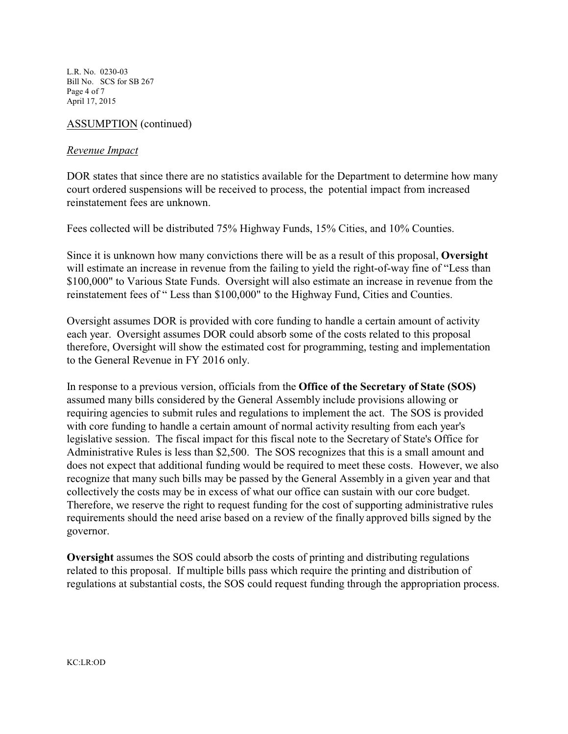L.R. No. 0230-03 Bill No. SCS for SB 267 Page 4 of 7 April 17, 2015

# ASSUMPTION (continued)

#### *Revenue Impact*

DOR states that since there are no statistics available for the Department to determine how many court ordered suspensions will be received to process, the potential impact from increased reinstatement fees are unknown.

Fees collected will be distributed 75% Highway Funds, 15% Cities, and 10% Counties.

Since it is unknown how many convictions there will be as a result of this proposal, **Oversight** will estimate an increase in revenue from the failing to yield the right-of-way fine of "Less than \$100,000" to Various State Funds. Oversight will also estimate an increase in revenue from the reinstatement fees of " Less than \$100,000" to the Highway Fund, Cities and Counties.

Oversight assumes DOR is provided with core funding to handle a certain amount of activity each year. Oversight assumes DOR could absorb some of the costs related to this proposal therefore, Oversight will show the estimated cost for programming, testing and implementation to the General Revenue in FY 2016 only.

In response to a previous version, officials from the **Office of the Secretary of State (SOS)** assumed many bills considered by the General Assembly include provisions allowing or requiring agencies to submit rules and regulations to implement the act. The SOS is provided with core funding to handle a certain amount of normal activity resulting from each year's legislative session. The fiscal impact for this fiscal note to the Secretary of State's Office for Administrative Rules is less than \$2,500. The SOS recognizes that this is a small amount and does not expect that additional funding would be required to meet these costs. However, we also recognize that many such bills may be passed by the General Assembly in a given year and that collectively the costs may be in excess of what our office can sustain with our core budget. Therefore, we reserve the right to request funding for the cost of supporting administrative rules requirements should the need arise based on a review of the finally approved bills signed by the governor.

**Oversight** assumes the SOS could absorb the costs of printing and distributing regulations related to this proposal. If multiple bills pass which require the printing and distribution of regulations at substantial costs, the SOS could request funding through the appropriation process.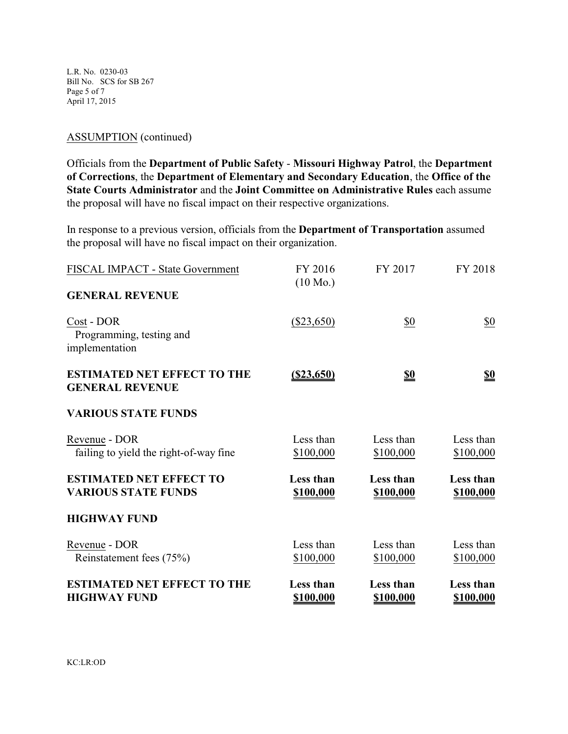L.R. No. 0230-03 Bill No. SCS for SB 267 Page 5 of 7 April 17, 2015

### ASSUMPTION (continued)

Officials from the **Department of Public Safety** - **Missouri Highway Patrol**, the **Department of Corrections**, the **Department of Elementary and Secondary Education**, the **Office of the State Courts Administrator** and the **Joint Committee on Administrative Rules** each assume the proposal will have no fiscal impact on their respective organizations.

In response to a previous version, officials from the **Department of Transportation** assumed the proposal will have no fiscal impact on their organization.

| FISCAL IMPACT - State Government                             | FY 2016<br>$(10 \text{ Mo.})$ | FY 2017                | FY 2018                       |
|--------------------------------------------------------------|-------------------------------|------------------------|-------------------------------|
| <b>GENERAL REVENUE</b>                                       |                               |                        |                               |
| Cost - DOR<br>Programming, testing and<br>implementation     | $(\$23,650)$                  | \$0                    | \$0                           |
| <b>ESTIMATED NET EFFECT TO THE</b><br><b>GENERAL REVENUE</b> | $($ \$23,650)                 | <u>\$0</u>             | <u>\$0</u>                    |
| <b>VARIOUS STATE FUNDS</b>                                   |                               |                        |                               |
| Revenue - DOR<br>failing to yield the right-of-way fine      | Less than<br>\$100,000        | Less than<br>\$100,000 | Less than<br>\$100,000        |
| <b>ESTIMATED NET EFFECT TO</b><br><b>VARIOUS STATE FUNDS</b> | Less than<br>\$100,000        | Less than<br>\$100,000 | <b>Less than</b><br>\$100,000 |
| <b>HIGHWAY FUND</b>                                          |                               |                        |                               |
| Revenue - DOR<br>Reinstatement fees (75%)                    | Less than<br>\$100,000        | Less than<br>\$100,000 | Less than<br>\$100,000        |
| <b>ESTIMATED NET EFFECT TO THE</b><br><b>HIGHWAY FUND</b>    | Less than<br>\$100,000        | Less than<br>\$100,000 | Less than<br>\$100,000        |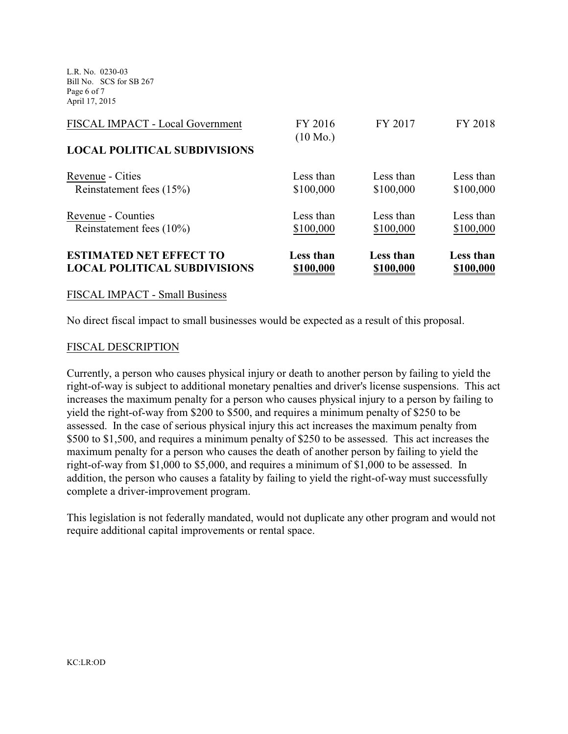L.R. No. 0230-03 Bill No. SCS for SB 267 Page 6 of 7 April 17, 2015

| <b>ESTIMATED NET EFFECT TO</b><br><b>LOCAL POLITICAL SUBDIVISIONS</b> | Less than<br>\$100,000        | Less than<br>\$100,000 | Less than<br>\$100,000 |
|-----------------------------------------------------------------------|-------------------------------|------------------------|------------------------|
| Reinstatement fees $(10\%)$                                           | \$100,000                     | \$100,000              | \$100,000              |
| Revenue - Counties                                                    | Less than                     | Less than              | Less than              |
| Reinstatement fees (15%)                                              | \$100,000                     | \$100,000              | \$100,000              |
| Revenue - Cities                                                      | Less than                     | Less than              | Less than              |
| <b>LOCAL POLITICAL SUBDIVISIONS</b>                                   |                               |                        |                        |
| FISCAL IMPACT - Local Government                                      | FY 2016<br>$(10 \text{ Mo.})$ | FY 2017                | FY 2018                |
|                                                                       |                               |                        |                        |

#### FISCAL IMPACT - Small Business

No direct fiscal impact to small businesses would be expected as a result of this proposal.

#### FISCAL DESCRIPTION

Currently, a person who causes physical injury or death to another person by failing to yield the right-of-way is subject to additional monetary penalties and driver's license suspensions. This act increases the maximum penalty for a person who causes physical injury to a person by failing to yield the right-of-way from \$200 to \$500, and requires a minimum penalty of \$250 to be assessed. In the case of serious physical injury this act increases the maximum penalty from \$500 to \$1,500, and requires a minimum penalty of \$250 to be assessed. This act increases the maximum penalty for a person who causes the death of another person by failing to yield the right-of-way from \$1,000 to \$5,000, and requires a minimum of \$1,000 to be assessed. In addition, the person who causes a fatality by failing to yield the right-of-way must successfully complete a driver-improvement program.

This legislation is not federally mandated, would not duplicate any other program and would not require additional capital improvements or rental space.